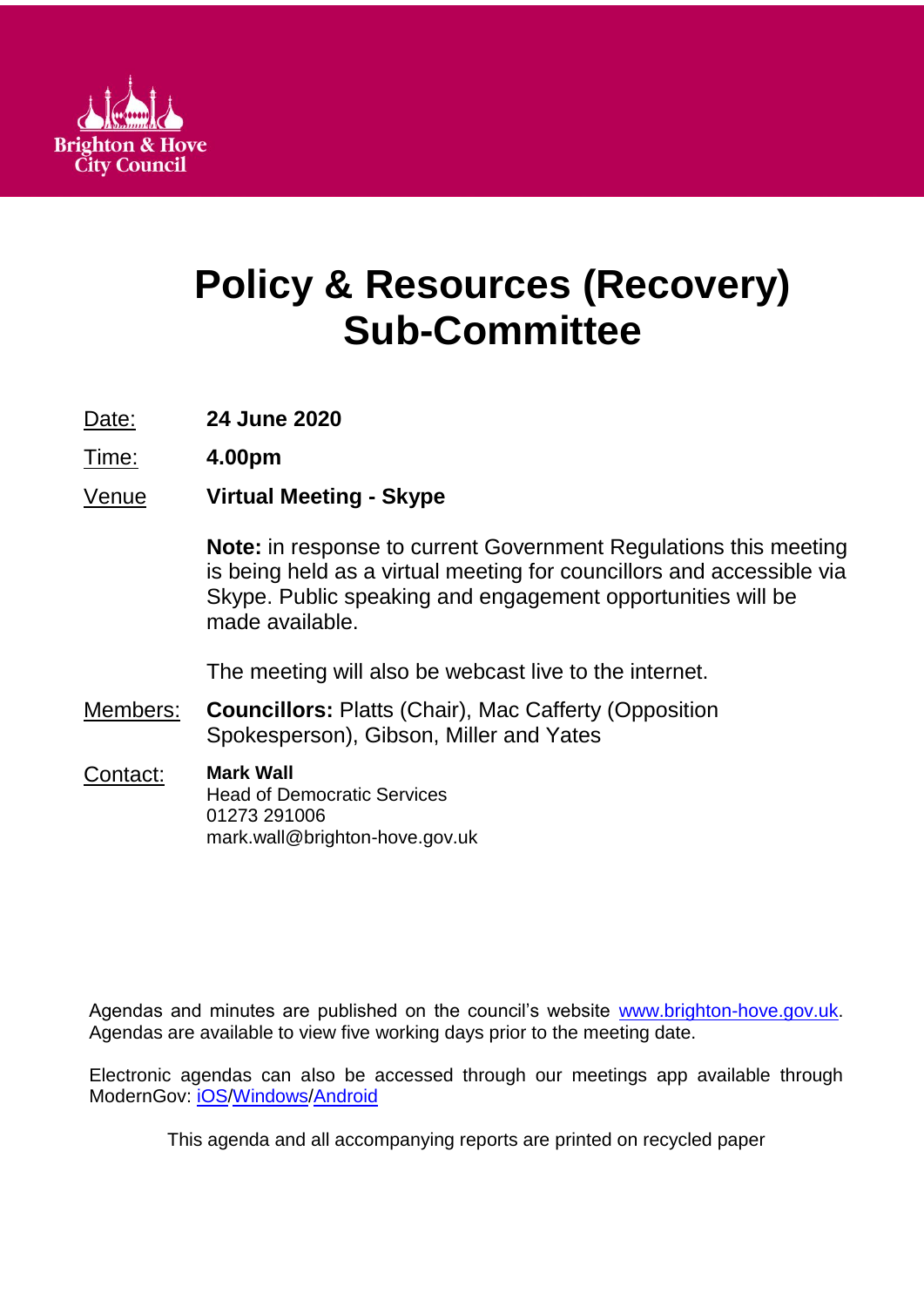

# **Policy & Resources (Recovery) Sub-Committee**

Date: **24 June 2020**

Time: **4.00pm**

Venue **Virtual Meeting - Skype**

**Note:** in response to current Government Regulations this meeting is being held as a virtual meeting for councillors and accessible via Skype. Public speaking and engagement opportunities will be made available.

The meeting will also be webcast live to the internet.

Members: **Councillors:** Platts (Chair), Mac Cafferty (Opposition Spokesperson), Gibson, Miller and Yates

Contact: **Mark Wall** Head of Democratic Services 01273 291006 mark.wall@brighton-hove.gov.uk

Agendas and minutes are published on the council's website [www.brighton-hove.gov.uk.](http://www.brighton-hove.gov.uk/) Agendas are available to view five working days prior to the meeting date.

Electronic agendas can also be accessed through our meetings app available through ModernGov: [iOS](https://play.google.com/store/apps/details?id=uk.co.moderngov.modgov&hl=en_GB)[/Windows/](https://www.microsoft.com/en-gb/p/modgov/9nblggh0c7s7#activetab=pivot:overviewtab)[Android](https://play.google.com/store/apps/details?id=uk.co.moderngov.modgov&hl=en_GB)

This agenda and all accompanying reports are printed on recycled paper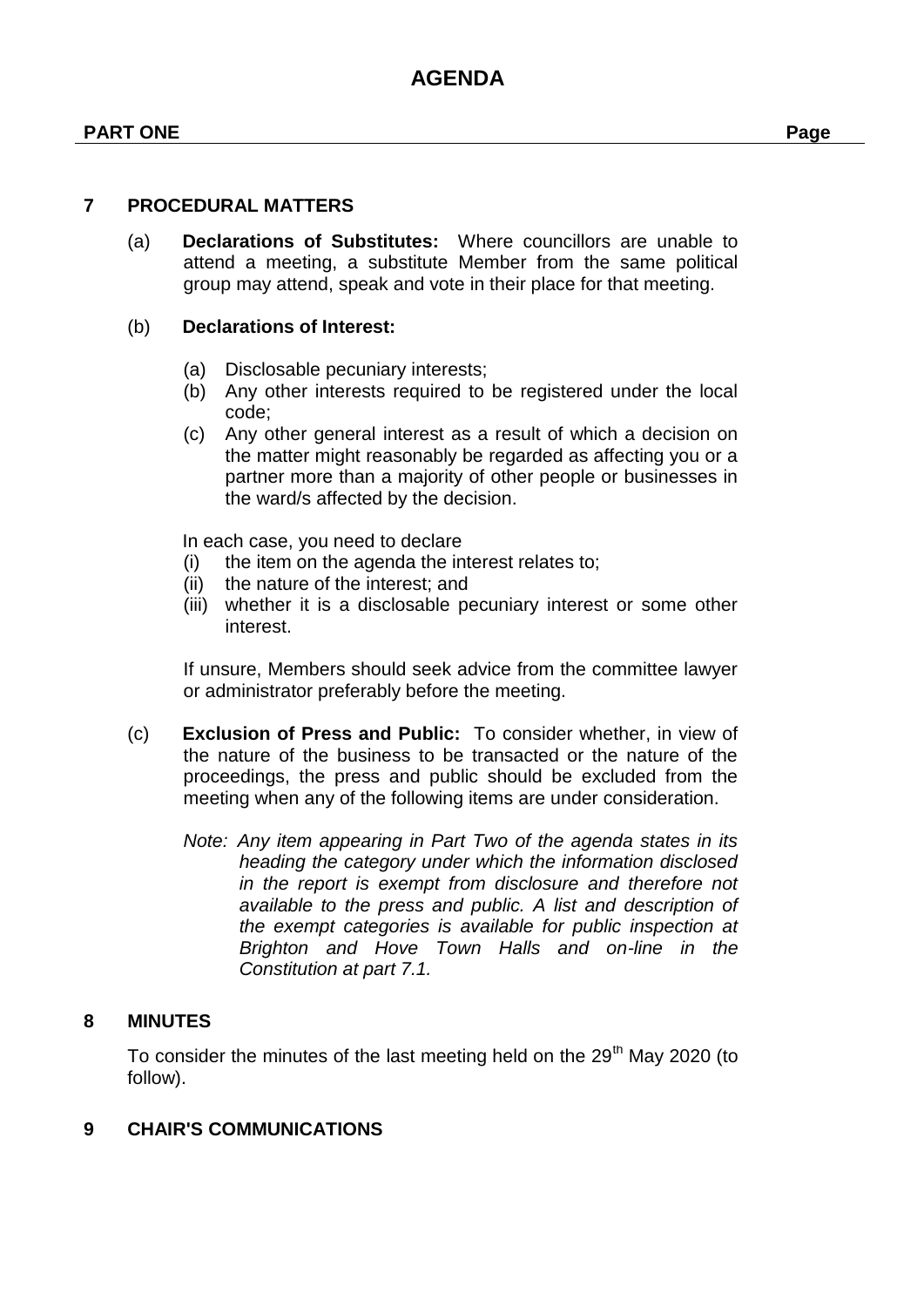(a) **Declarations of Substitutes:** Where councillors are unable to attend a meeting, a substitute Member from the same political group may attend, speak and vote in their place for that meeting.

#### (b) **Declarations of Interest:**

- (a) Disclosable pecuniary interests;
- (b) Any other interests required to be registered under the local code;
- (c) Any other general interest as a result of which a decision on the matter might reasonably be regarded as affecting you or a partner more than a majority of other people or businesses in the ward/s affected by the decision.

In each case, you need to declare

- (i) the item on the agenda the interest relates to;
- (ii) the nature of the interest; and
- (iii) whether it is a disclosable pecuniary interest or some other interest.

If unsure, Members should seek advice from the committee lawyer or administrator preferably before the meeting.

- (c) **Exclusion of Press and Public:** To consider whether, in view of the nature of the business to be transacted or the nature of the proceedings, the press and public should be excluded from the meeting when any of the following items are under consideration.
	- *Note: Any item appearing in Part Two of the agenda states in its heading the category under which the information disclosed in the report is exempt from disclosure and therefore not available to the press and public. A list and description of the exempt categories is available for public inspection at Brighton and Hove Town Halls and on-line in the Constitution at part 7.1.*

#### **8 MINUTES**

To consider the minutes of the last meeting held on the 29<sup>th</sup> May 2020 (to follow).

#### **9 CHAIR'S COMMUNICATIONS**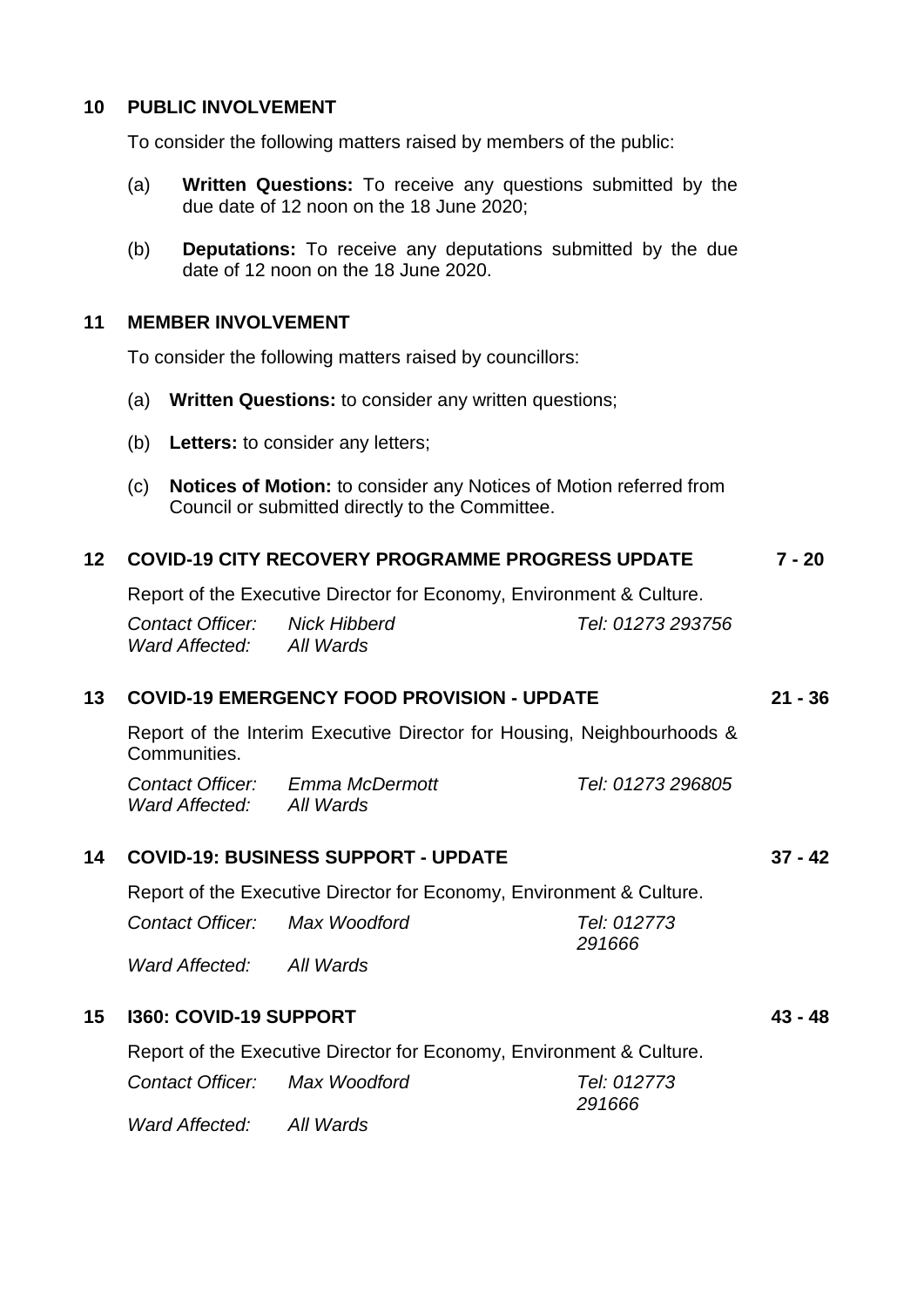#### **10 PUBLIC INVOLVEMENT**

To consider the following matters raised by members of the public:

- (a) **Written Questions:** To receive any questions submitted by the due date of 12 noon on the 18 June 2020;
- (b) **Deputations:** To receive any deputations submitted by the due date of 12 noon on the 18 June 2020.

#### **11 MEMBER INVOLVEMENT**

To consider the following matters raised by councillors:

- (a) **Written Questions:** to consider any written questions;
- (b) **Letters:** to consider any letters;
- (c) **Notices of Motion:** to consider any Notices of Motion referred from Council or submitted directly to the Committee.

#### **12 COVID-19 CITY RECOVERY PROGRAMME PROGRESS UPDATE 7 - 20**

Report of the Executive Director for Economy, Environment & Culture.

*Contact Officer: Nick Hibberd Tel: 01273 293756 Ward Affected: All Wards*

#### **13 COVID-19 EMERGENCY FOOD PROVISION - UPDATE 21 - 36**

Report of the Interim Executive Director for Housing, Neighbourhoods & Communities.

*Contact Officer: Emma McDermott Tel: 01273 296805 Ward Affected: All Wards*

#### **14 COVID-19: BUSINESS SUPPORT - UPDATE 37 - 42**

Report of the Executive Director for Economy, Environment & Culture.

| Contact Officer: | Max Woodford | Tel: 012773 |
|------------------|--------------|-------------|
|                  | .            | 291666      |

*Ward Affected: All Wards*

#### **15 I360: COVID-19 SUPPORT 43 - 48**

Report of the Executive Director for Economy, Environment & Culture.

*291666*

*Contact Officer: Max Woodford Tel: 012773*

*Ward Affected: All Wards*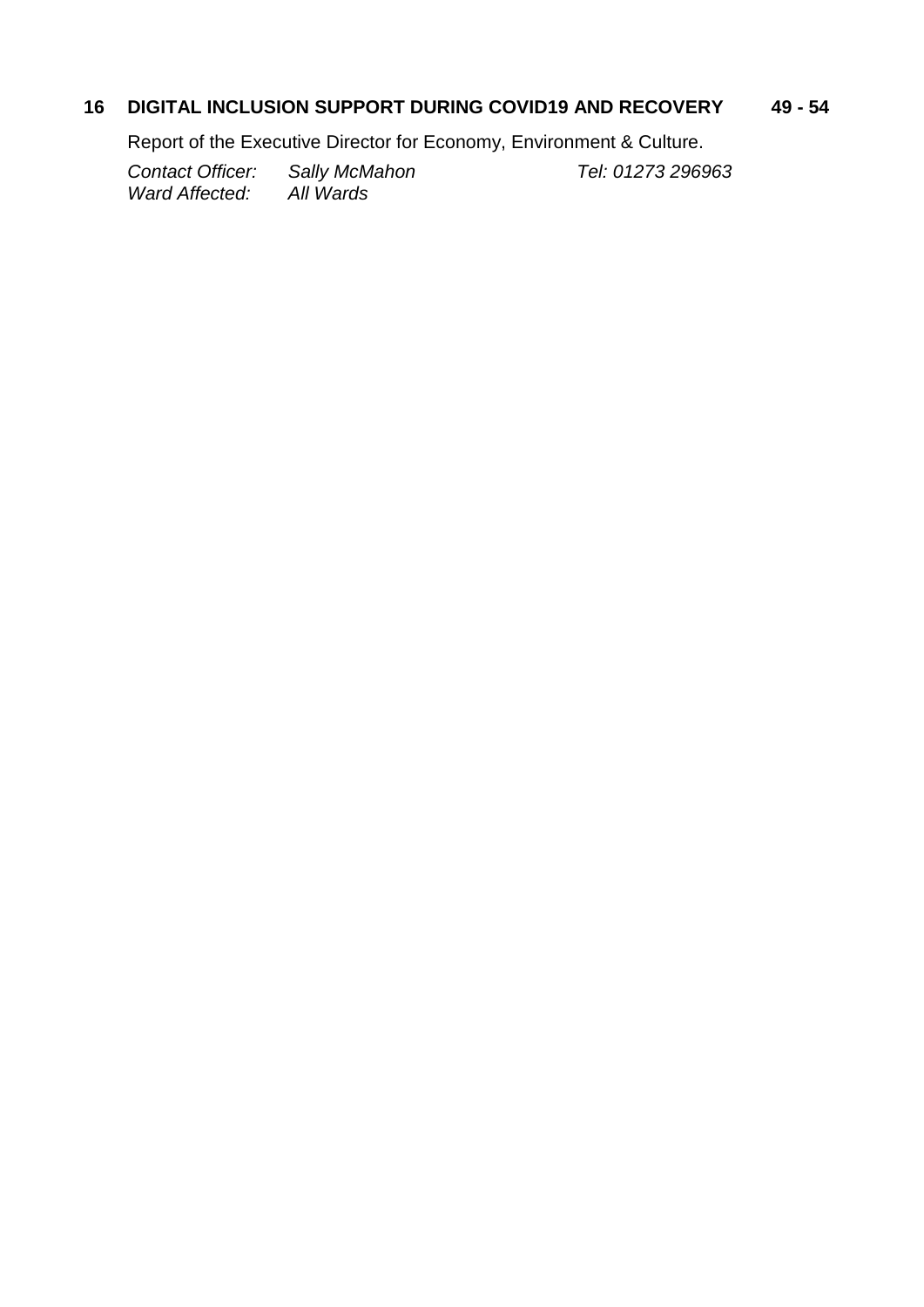# **16 DIGITAL INCLUSION SUPPORT DURING COVID19 AND RECOVERY 49 - 54**

Report of the Executive Director for Economy, Environment & Culture.

*Contact Officer: Sally McMahon Tel: 01273 296963 Ward Affected:*